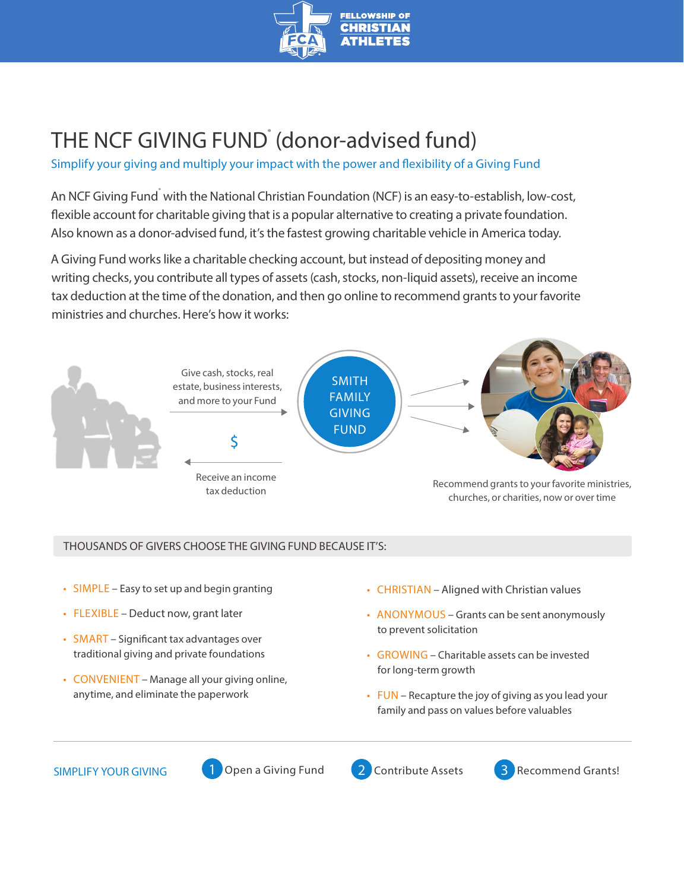

## THE NCF GIVING FUND (donor-advised fund)

Simplify your giving and multiply your impact with the power and flexibility of a Giving Fund

An NCF Giving Fund<sup>\*</sup> with the National Christian Foundation (NCF) is an easy-to-establish, low-cost, flexible account for charitable giving that is a popular alternative to creating a private foundation. Also known as a donor-advised fund, it's the fastest growing charitable vehicle in America today.

A Giving Fund works like a charitable checking account, but instead of depositing money and writing checks, you contribute all types of assets (cash, stocks, non-liquid assets), receive an income tax deduction at the time of the donation, and then go online to recommend grants to your favorite ministries and churches. Here's how it works:



## THOUSANDS OF GIVERS CHOOSE THE GIVING FUND BECAUSE IT'S:

- SIMPLE Easy to set up and begin granting
- FLEXIBLE Deduct now, grant later
- SMART Significant tax advantages over traditional giving and private foundations
- CONVENIENT Manage all your giving online, anytime, and eliminate the paperwork
- CHRISTIAN Aligned with Christian values
- ANONYMOUS Grants can be sent anonymously to prevent solicitation
- GROWING Charitable assets can be invested for long-term growth
- FUN Recapture the joy of giving as you lead your family and pass on values before valuables